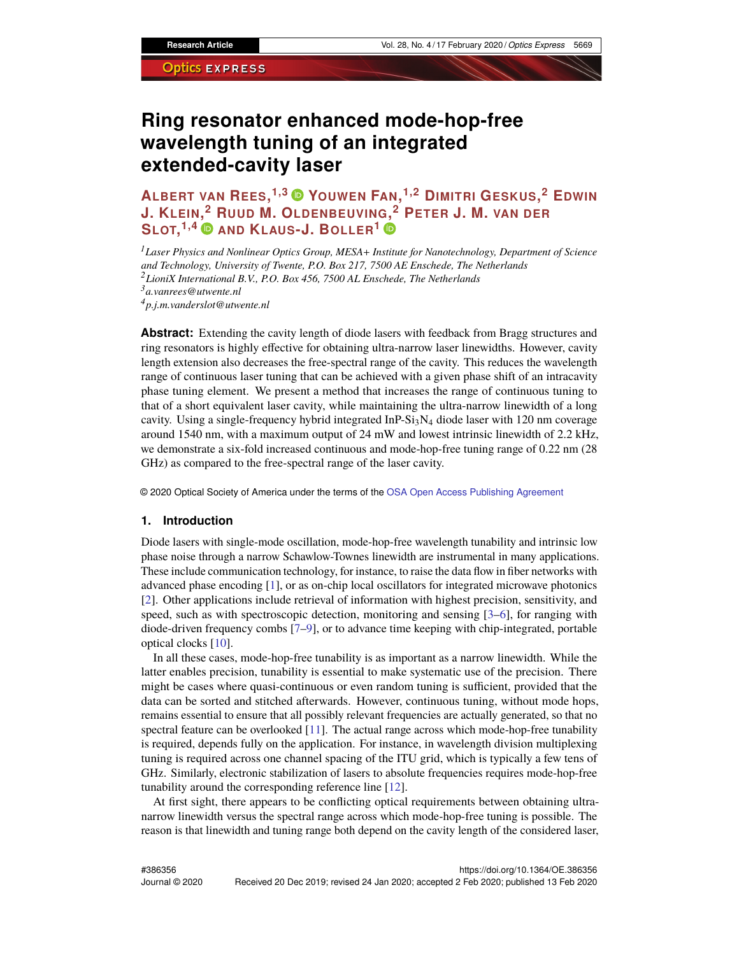# **Ring resonator enhanced mode-hop-free wavelength tuning of an integrated extended-cavity laser**

**ALBERT VAN REES, 1,3 YOUWEN FAN, 1,2 DIMITRI GESKUS, <sup>2</sup> EDWIN J. KLEIN[,](https://orcid.org/0000-0001-7473-1752) <sup>2</sup> RUUD M. OLDENBEUVING[,](https://orcid.org/0000-0001-6628-610X) <sup>2</sup> PETER J. M. VAN DER SLOT, 1,4 AND KLAUS-J. BOLLER<sup>1</sup>**

*Laser Physics and Nonlinear Optics Group, MESA*+ *Institute for Nanotechnology, Department of Science and Technology, University of Twente, P.O. Box 217, 7500 AE Enschede, The Netherlands LioniX International B.V., P.O. Box 456, 7500 AL Enschede, The Netherlands a.vanrees@utwente.nl p.j.m.vanderslot@utwente.nl*

**Abstract:** Extending the cavity length of diode lasers with feedback from Bragg structures and ring resonators is highly effective for obtaining ultra-narrow laser linewidths. However, cavity length extension also decreases the free-spectral range of the cavity. This reduces the wavelength range of continuous laser tuning that can be achieved with a given phase shift of an intracavity phase tuning element. We present a method that increases the range of continuous tuning to that of a short equivalent laser cavity, while maintaining the ultra-narrow linewidth of a long cavity. Using a single-frequency hybrid integrated  $InP-Si<sub>3</sub>N<sub>4</sub>$  diode laser with 120 nm coverage around 1540 nm, with a maximum output of 24 mW and lowest intrinsic linewidth of 2.2 kHz, we demonstrate a six-fold increased continuous and mode-hop-free tuning range of 0.22 nm (28 GHz) as compared to the free-spectral range of the laser cavity.

© 2020 Optical Society of America under the terms of the [OSA Open Access Publishing Agreement](https://doi.org/10.1364/OA_License_v1)

#### **1. Introduction**

Diode lasers with single-mode oscillation, mode-hop-free wavelength tunability and intrinsic low phase noise through a narrow Schawlow-Townes linewidth are instrumental in many applications. These include communication technology, for instance, to raise the data flow in fiber networks with advanced phase encoding [\[1\]](#page-12-0), or as on-chip local oscillators for integrated microwave photonics [\[2\]](#page-12-1). Other applications include retrieval of information with highest precision, sensitivity, and speed, such as with spectroscopic detection, monitoring and sensing [\[3](#page-12-2)[–6\]](#page-12-3), for ranging with diode-driven frequency combs [\[7–](#page-12-4)[9\]](#page-12-5), or to advance time keeping with chip-integrated, portable optical clocks [\[10\]](#page-12-6).

In all these cases, mode-hop-free tunability is as important as a narrow linewidth. While the latter enables precision, tunability is essential to make systematic use of the precision. There might be cases where quasi-continuous or even random tuning is sufficient, provided that the data can be sorted and stitched afterwards. However, continuous tuning, without mode hops, remains essential to ensure that all possibly relevant frequencies are actually generated, so that no spectral feature can be overlooked [\[11\]](#page-12-7). The actual range across which mode-hop-free tunability is required, depends fully on the application. For instance, in wavelength division multiplexing tuning is required across one channel spacing of the ITU grid, which is typically a few tens of GHz. Similarly, electronic stabilization of lasers to absolute frequencies requires mode-hop-free tunability around the corresponding reference line [\[12\]](#page-12-8).

At first sight, there appears to be conflicting optical requirements between obtaining ultranarrow linewidth versus the spectral range across which mode-hop-free tuning is possible. The reason is that linewidth and tuning range both depend on the cavity length of the considered laser,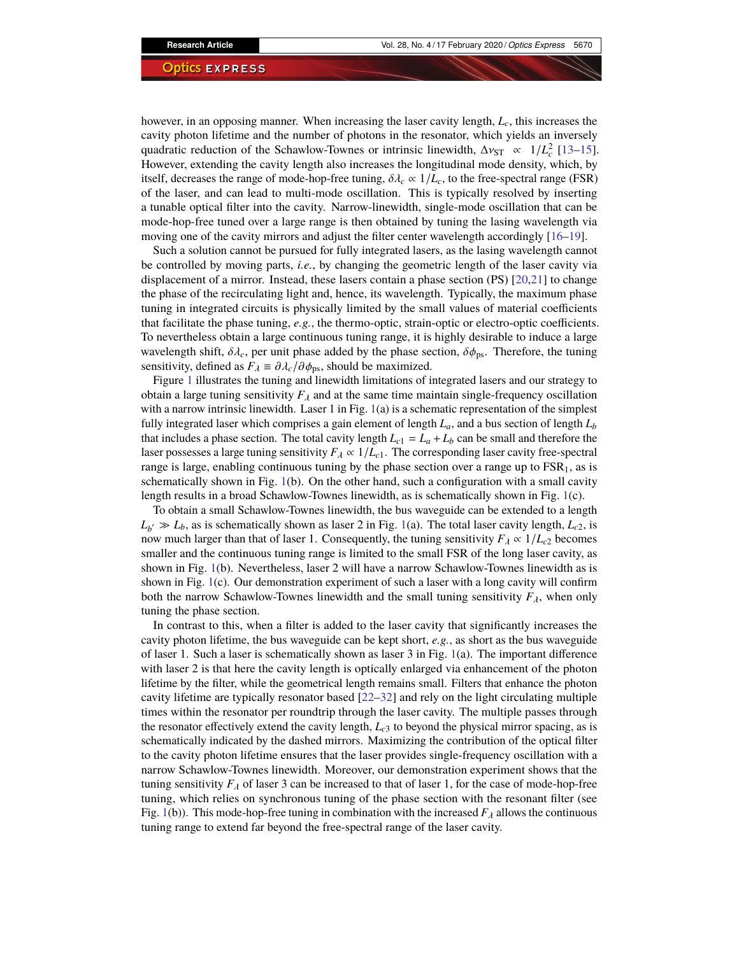however, in an opposing manner. When increasing the laser cavity length, *Lc*, this increases the cavity photon lifetime and the number of photons in the resonator, which yields an inversely quadratic reduction of the Schawlow-Townes or intrinsic linewidth,  $\Delta v_{ST} \propto 1/L_c^2$  [\[13–](#page-12-9)[15\]](#page-13-0).<br>However, extending the cavity length also increases the longitudinal mode density, which by However, extending the cavity length also increases the longitudinal mode density, which, by itself, decreases the range of mode-hop-free tuning,  $\delta \lambda_c \propto 1/L_c$ , to the free-spectral range (FSR) of the laser, and can lead to multi-mode oscillation. This is typically resolved by inserting a tunable optical filter into the cavity. Narrow-linewidth, single-mode oscillation that can be mode-hop-free tuned over a large range is then obtained by tuning the lasing wavelength via moving one of the cavity mirrors and adjust the filter center wavelength accordingly [\[16](#page-13-1)[–19\]](#page-13-2).

Such a solution cannot be pursued for fully integrated lasers, as the lasing wavelength cannot be controlled by moving parts, *i.e.*, by changing the geometric length of the laser cavity via displacement of a mirror. Instead, these lasers contain a phase section (PS) [\[20,](#page-13-3)[21\]](#page-13-4) to change the phase of the recirculating light and, hence, its wavelength. Typically, the maximum phase tuning in integrated circuits is physically limited by the small values of material coefficients that facilitate the phase tuning, *e.g.*, the thermo-optic, strain-optic or electro-optic coefficients. To nevertheless obtain a large continuous tuning range, it is highly desirable to induce a large wavelength shift,  $\delta \lambda_c$ , per unit phase added by the phase section,  $\delta \phi_{\text{ps}}$ . Therefore, the tuning sensitivity, defined as  $F_{\lambda} \equiv \partial \lambda_c / \partial \phi_{\text{ps}}$ , should be maximized.

Figure [1](#page-2-0) illustrates the tuning and linewidth limitations of integrated lasers and our strategy to obtain a large tuning sensitivity  $F_\lambda$  and at the same time maintain single-frequency oscillation with a narrow intrinsic linewidth. Laser 1 in Fig.  $1(a)$  $1(a)$  is a schematic representation of the simplest fully integrated laser which comprises a gain element of length *La*, and a bus section of length *L<sup>b</sup>* that includes a phase section. The total cavity length  $L_{c1} = L_a + L_b$  can be small and therefore the laser possesses a large tuning sensitivity  $F_{\lambda} \propto 1/L_{c1}$ . The corresponding laser cavity free-spectral range is large, enabling continuous tuning by the phase section over a range up to  $FSR<sub>1</sub>$ , as is schematically shown in Fig. [1\(](#page-2-0)b). On the other hand, such a configuration with a small cavity length results in a broad Schawlow-Townes linewidth, as is schematically shown in Fig. [1\(](#page-2-0)c).

To obtain a small Schawlow-Townes linewidth, the bus waveguide can be extended to a length  $L_{b'} \gg L_b$ , as is schematically shown as laser 2 in Fig. [1\(](#page-2-0)a). The total laser cavity length,  $L_{c2}$ , is now much larger than that of laser 1. Consequently, the tuning sensitivity  $F_{\lambda} \propto 1/L_{c2}$  becomes smaller and the continuous tuning range is limited to the small FSR of the long laser cavity, as shown in Fig. [1\(](#page-2-0)b). Nevertheless, laser 2 will have a narrow Schawlow-Townes linewidth as is shown in Fig. [1\(](#page-2-0)c). Our demonstration experiment of such a laser with a long cavity will confirm both the narrow Schawlow-Townes linewidth and the small tuning sensitivity  $F_{\lambda}$ , when only tuning the phase section.

In contrast to this, when a filter is added to the laser cavity that significantly increases the cavity photon lifetime, the bus waveguide can be kept short, *e.g.*, as short as the bus waveguide of laser 1. Such a laser is schematically shown as laser 3 in Fig. [1\(](#page-2-0)a). The important difference with laser 2 is that here the cavity length is optically enlarged via enhancement of the photon lifetime by the filter, while the geometrical length remains small. Filters that enhance the photon cavity lifetime are typically resonator based [\[22](#page-13-5)[–32\]](#page-13-6) and rely on the light circulating multiple times within the resonator per roundtrip through the laser cavity. The multiple passes through the resonator effectively extend the cavity length, *Lc*<sup>3</sup> to beyond the physical mirror spacing, as is schematically indicated by the dashed mirrors. Maximizing the contribution of the optical filter to the cavity photon lifetime ensures that the laser provides single-frequency oscillation with a narrow Schawlow-Townes linewidth. Moreover, our demonstration experiment shows that the tuning sensitivity  $F_{\lambda}$  of laser 3 can be increased to that of laser 1, for the case of mode-hop-free tuning, which relies on synchronous tuning of the phase section with the resonant filter (see Fig. [1\(](#page-2-0)b)). This mode-hop-free tuning in combination with the increased  $F_{\lambda}$  allows the continuous tuning range to extend far beyond the free-spectral range of the laser cavity.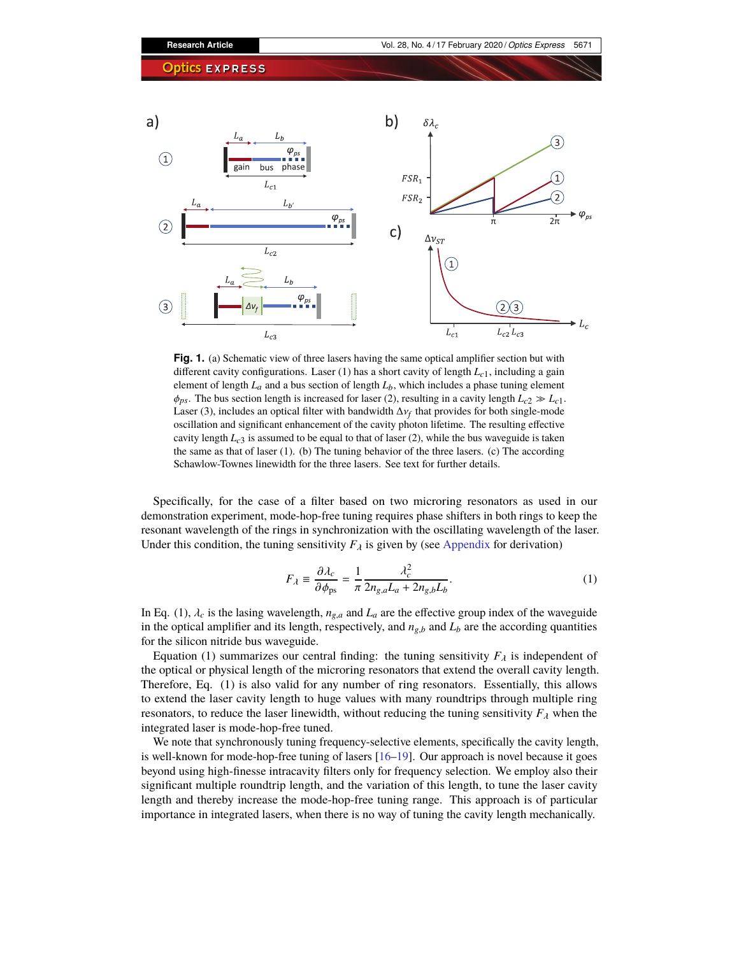

<span id="page-2-0"></span>**Fig. 1.** (a) Schematic view of three lasers having the same optical amplifier section but with different cavity configurations. Laser (1) has a short cavity of length  $L_c$ <sub>1</sub>, including a gain element of length  $L_a$  and a bus section of length  $L_b$ , which includes a phase tuning element  $\phi_{ps}$ . The bus section length is increased for laser (2), resulting in a cavity length  $L_{c2} \gg L_{c1}$ . Laser (3), includes an optical filter with bandwidth  $\Delta v_f$  that provides for both single-mode<br>oscillation and significant enhancement of the cavity photon lifetime. The resulting effective oscillation and significant enhancement of the cavity photon lifetime. The resulting effective cavity length  $L_{c3}$  is assumed to be equal to that of laser (2), while the bus waveguide is taken the same as that of laser (1). (b) The tuning behavior of the three lasers. (c) The according Schawlow-Townes linewidth for the three lasers. See text for further details.

Specifically, for the case of a filter based on two microring resonators as used in our demonstration experiment, mode-hop-free tuning requires phase shifters in both rings to keep the resonant wavelength of the rings in synchronization with the oscillating wavelength of the laser. Under this condition, the tuning sensitivity  $F_{\lambda}$  is given by (see [Appendix](#page-10-0) for derivation)

$$
F_{\lambda} \equiv \frac{\partial \lambda_c}{\partial \phi_{\text{ps}}} = \frac{1}{\pi} \frac{\lambda_c^2}{2n_{g,a}L_a + 2n_{g,b}L_b}.
$$
 (1)

In Eq. (1),  $\lambda_c$  is the lasing wavelength,  $n_{g,a}$  and  $L_a$  are the effective group index of the waveguide in the optical amplifier and its length, respectively, and  $n_{g,b}$  and  $L_b$  are the according quantities for the silicon nitride bus waveguide.

Equation (1) summarizes our central finding: the tuning sensitivity  $F_\lambda$  is independent of the optical or physical length of the microring resonators that extend the overall cavity length. Therefore, Eq. (1) is also valid for any number of ring resonators. Essentially, this allows to extend the laser cavity length to huge values with many roundtrips through multiple ring resonators, to reduce the laser linewidth, without reducing the tuning sensitivity  $F_{\lambda}$  when the integrated laser is mode-hop-free tuned.

We note that synchronously tuning frequency-selective elements, specifically the cavity length, is well-known for mode-hop-free tuning of lasers [\[16–](#page-13-1)[19\]](#page-13-2). Our approach is novel because it goes beyond using high-finesse intracavity filters only for frequency selection. We employ also their significant multiple roundtrip length, and the variation of this length, to tune the laser cavity length and thereby increase the mode-hop-free tuning range. This approach is of particular importance in integrated lasers, when there is no way of tuning the cavity length mechanically.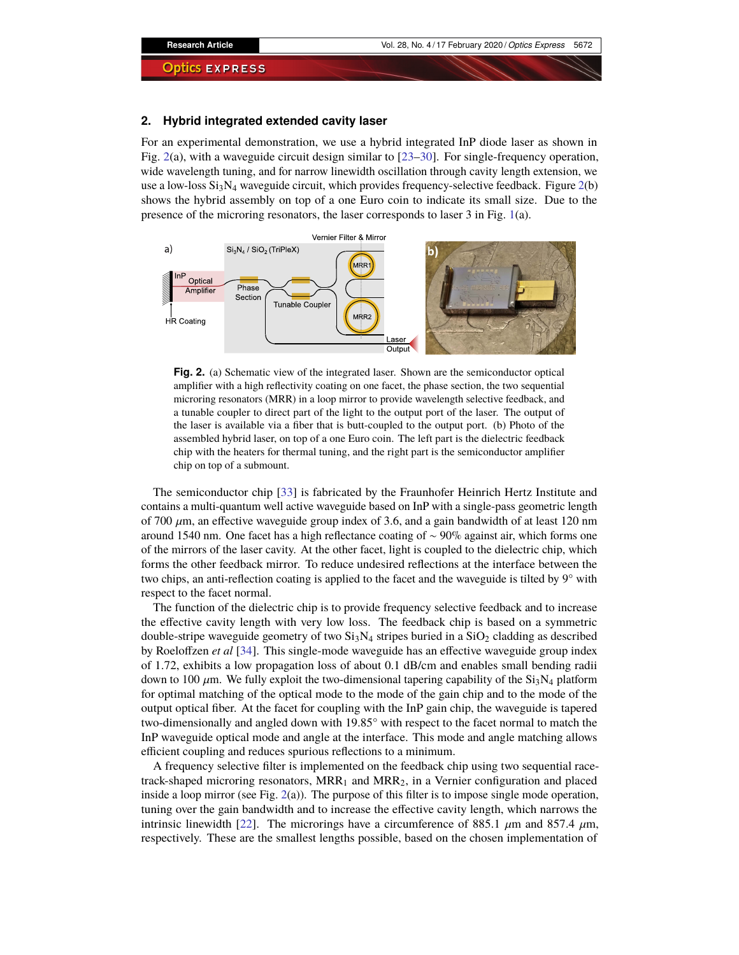## **2. Hybrid integrated extended cavity laser**

For an experimental demonstration, we use a hybrid integrated InP diode laser as shown in Fig. [2\(](#page-3-0)a), with a waveguide circuit design similar to [\[23](#page-13-7)[–30\]](#page-13-8). For single-frequency operation, wide wavelength tuning, and for narrow linewidth oscillation through cavity length extension, we use a low-loss  $Si<sub>3</sub>N<sub>4</sub>$  waveguide circuit, which provides frequency-selective feedback. Figure [2\(](#page-3-0)b) shows the hybrid assembly on top of a one Euro coin to indicate its small size. Due to the presence of the microring resonators, the laser corresponds to laser 3 in Fig. [1\(](#page-2-0)a).



<span id="page-3-0"></span>**Fig. 2.** (a) Schematic view of the integrated laser. Shown are the semiconductor optical amplifier with a high reflectivity coating on one facet, the phase section, the two sequential microring resonators (MRR) in a loop mirror to provide wavelength selective feedback, and a tunable coupler to direct part of the light to the output port of the laser. The output of the laser is available via a fiber that is butt-coupled to the output port. (b) Photo of the assembled hybrid laser, on top of a one Euro coin. The left part is the dielectric feedback chip with the heaters for thermal tuning, and the right part is the semiconductor amplifier chip on top of a submount.

The semiconductor chip [\[33\]](#page-13-9) is fabricated by the Fraunhofer Heinrich Hertz Institute and contains a multi-quantum well active waveguide based on InP with a single-pass geometric length of 700  $\mu$ m, an effective waveguide group index of 3.6, and a gain bandwidth of at least 120 nm around 1540 nm. One facet has a high reflectance coating of ∼ 90% against air, which forms one of the mirrors of the laser cavity. At the other facet, light is coupled to the dielectric chip, which forms the other feedback mirror. To reduce undesired reflections at the interface between the two chips, an anti-reflection coating is applied to the facet and the waveguide is tilted by 9° with respect to the facet normal.

The function of the dielectric chip is to provide frequency selective feedback and to increase the effective cavity length with very low loss. The feedback chip is based on a symmetric double-stripe waveguide geometry of two  $Si<sub>3</sub>N<sub>4</sub>$  stripes buried in a  $SiO<sub>2</sub>$  cladding as described by Roeloffzen *et al* [\[34\]](#page-13-10). This single-mode waveguide has an effective waveguide group index of 1.72, exhibits a low propagation loss of about 0.1 dB/cm and enables small bending radii down to 100  $\mu$ m. We fully exploit the two-dimensional tapering capability of the Si<sub>3</sub>N<sub>4</sub> platform for optimal matching of the optical mode to the mode of the gain chip and to the mode of the output optical fiber. At the facet for coupling with the InP gain chip, the waveguide is tapered two-dimensionally and angled down with 19.85° with respect to the facet normal to match the InP waveguide optical mode and angle at the interface. This mode and angle matching allows efficient coupling and reduces spurious reflections to a minimum.

A frequency selective filter is implemented on the feedback chip using two sequential racetrack-shaped microring resonators,  $MRR_1$  and  $MRR_2$ , in a Vernier configuration and placed inside a loop mirror (see Fig.  $2(a)$  $2(a)$ ). The purpose of this filter is to impose single mode operation, tuning over the gain bandwidth and to increase the effective cavity length, which narrows the intrinsic linewidth [\[22\]](#page-13-5). The microrings have a circumference of 885.1  $\mu$ m and 857.4  $\mu$ m, respectively. These are the smallest lengths possible, based on the chosen implementation of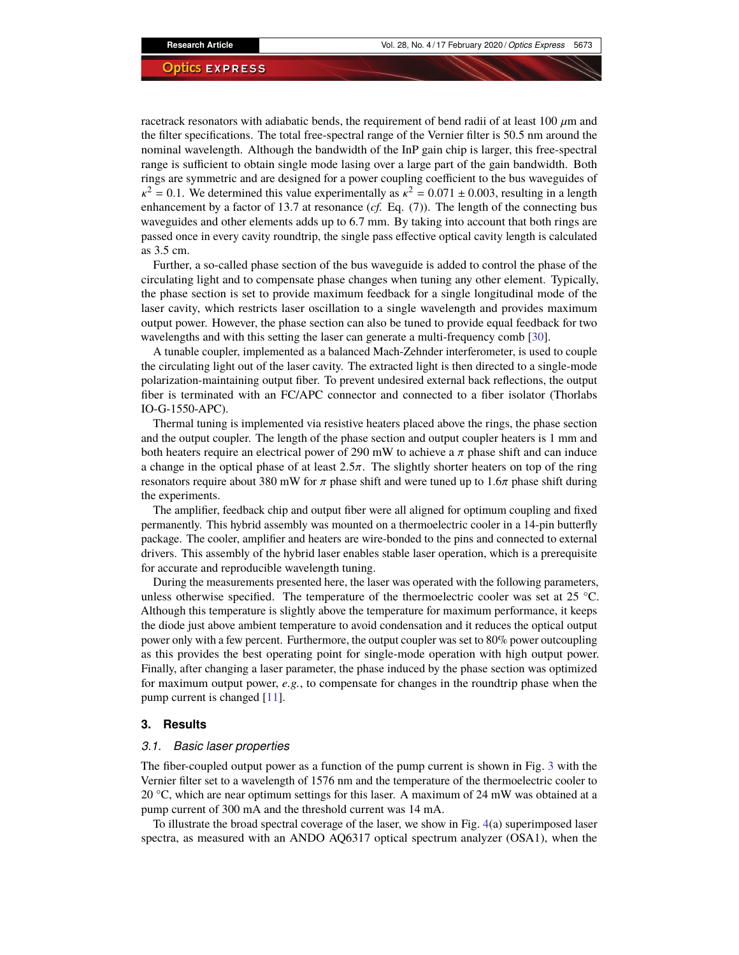racetrack resonators with adiabatic bends, the requirement of bend radii of at least 100  $\mu$ m and the filter specifications. The total free-spectral range of the Vernier filter is 50.5 nm around the nominal wavelength. Although the bandwidth of the InP gain chip is larger, this free-spectral range is sufficient to obtain single mode lasing over a large part of the gain bandwidth. Both rings are symmetric and are designed for a power coupling coefficient to the bus waveguides of enhancement by a factor of 13.7 at resonance (*cf.* Eq. (7)). The length of the connecting bus  $\alpha^2 = 0.1$ . We determined this value experimentally as  $\kappa^2 = 0.071 \pm 0.003$ , resulting in a length phancement by a factor of 13.7 at resonance (cf. Eq. (7)). The length of the connecting bus waveguides and other elements adds up to 6.7 mm. By taking into account that both rings are passed once in every cavity roundtrip, the single pass effective optical cavity length is calculated as 3.5 cm.

Further, a so-called phase section of the bus waveguide is added to control the phase of the circulating light and to compensate phase changes when tuning any other element. Typically, the phase section is set to provide maximum feedback for a single longitudinal mode of the laser cavity, which restricts laser oscillation to a single wavelength and provides maximum output power. However, the phase section can also be tuned to provide equal feedback for two wavelengths and with this setting the laser can generate a multi-frequency comb [\[30\]](#page-13-8).

A tunable coupler, implemented as a balanced Mach-Zehnder interferometer, is used to couple the circulating light out of the laser cavity. The extracted light is then directed to a single-mode polarization-maintaining output fiber. To prevent undesired external back reflections, the output fiber is terminated with an FC/APC connector and connected to a fiber isolator (Thorlabs IO-G-1550-APC).

Thermal tuning is implemented via resistive heaters placed above the rings, the phase section and the output coupler. The length of the phase section and output coupler heaters is 1 mm and both heaters require an electrical power of 290 mW to achieve a  $\pi$  phase shift and can induce a change in the optical phase of at least  $2.5\pi$ . The slightly shorter heaters on top of the ring resonators require about 380 mW for  $\pi$  phase shift and were tuned up to 1.6 $\pi$  phase shift during the experiments.

The amplifier, feedback chip and output fiber were all aligned for optimum coupling and fixed permanently. This hybrid assembly was mounted on a thermoelectric cooler in a 14-pin butterfly package. The cooler, amplifier and heaters are wire-bonded to the pins and connected to external drivers. This assembly of the hybrid laser enables stable laser operation, which is a prerequisite for accurate and reproducible wavelength tuning.

During the measurements presented here, the laser was operated with the following parameters, unless otherwise specified. The temperature of the thermoelectric cooler was set at 25 °C. Although this temperature is slightly above the temperature for maximum performance, it keeps the diode just above ambient temperature to avoid condensation and it reduces the optical output power only with a few percent. Furthermore, the output coupler was set to 80% power outcoupling as this provides the best operating point for single-mode operation with high output power. Finally, after changing a laser parameter, the phase induced by the phase section was optimized for maximum output power, *e.g.*, to compensate for changes in the roundtrip phase when the pump current is changed [\[11\]](#page-12-7).

#### **3. Results**

#### *3.1. Basic laser properties*

The fiber-coupled output power as a function of the pump current is shown in Fig. [3](#page-5-0) with the Vernier filter set to a wavelength of 1576 nm and the temperature of the thermoelectric cooler to 20  $\degree$ C, which are near optimum settings for this laser. A maximum of 24 mW was obtained at a pump current of 300 mA and the threshold current was 14 mA.

To illustrate the broad spectral coverage of the laser, we show in Fig. [4\(](#page-6-0)a) superimposed laser spectra, as measured with an ANDO AQ6317 optical spectrum analyzer (OSA1), when the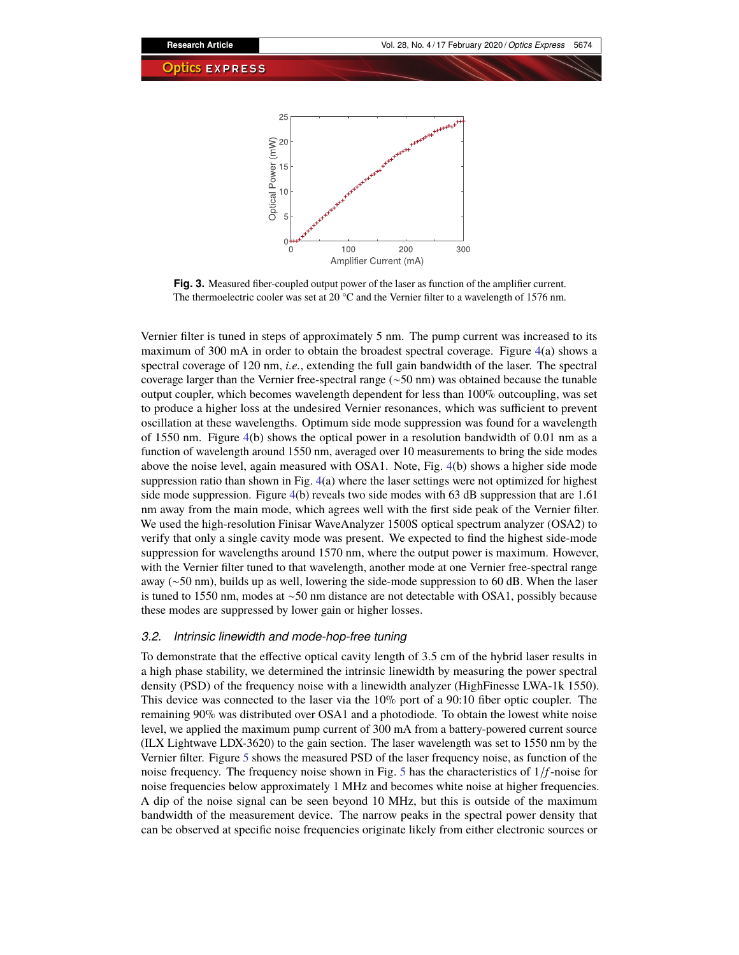

<span id="page-5-0"></span>**Fig. 3.** Measured fiber-coupled output power of the laser as function of the amplifier current. The thermoelectric cooler was set at 20 °C and the Vernier filter to a wavelength of 1576 nm.

Vernier filter is tuned in steps of approximately 5 nm. The pump current was increased to its maximum of 300 mA in order to obtain the broadest spectral coverage. Figure  $4(a)$  $4(a)$  shows a spectral coverage of 120 nm, *i.e.*, extending the full gain bandwidth of the laser. The spectral coverage larger than the Vernier free-spectral range (∼50 nm) was obtained because the tunable output coupler, which becomes wavelength dependent for less than 100% outcoupling, was set to produce a higher loss at the undesired Vernier resonances, which was sufficient to prevent oscillation at these wavelengths. Optimum side mode suppression was found for a wavelength of 1550 nm. Figure [4\(](#page-6-0)b) shows the optical power in a resolution bandwidth of 0.01 nm as a function of wavelength around 1550 nm, averaged over 10 measurements to bring the side modes above the noise level, again measured with OSA1. Note, Fig. [4\(](#page-6-0)b) shows a higher side mode suppression ratio than shown in Fig. [4\(](#page-6-0)a) where the laser settings were not optimized for highest side mode suppression. Figure  $4(b)$  $4(b)$  reveals two side modes with 63 dB suppression that are 1.61 nm away from the main mode, which agrees well with the first side peak of the Vernier filter. We used the high-resolution Finisar WaveAnalyzer 1500S optical spectrum analyzer (OSA2) to verify that only a single cavity mode was present. We expected to find the highest side-mode suppression for wavelengths around 1570 nm, where the output power is maximum. However, with the Vernier filter tuned to that wavelength, another mode at one Vernier free-spectral range away (∼50 nm), builds up as well, lowering the side-mode suppression to 60 dB. When the laser is tuned to 1550 nm, modes at ∼50 nm distance are not detectable with OSA1, possibly because these modes are suppressed by lower gain or higher losses.

# *3.2. Intrinsic linewidth and mode-hop-free tuning*

To demonstrate that the effective optical cavity length of 3.5 cm of the hybrid laser results in a high phase stability, we determined the intrinsic linewidth by measuring the power spectral density (PSD) of the frequency noise with a linewidth analyzer (HighFinesse LWA-1k 1550). This device was connected to the laser via the 10% port of a 90:10 fiber optic coupler. The remaining 90% was distributed over OSA1 and a photodiode. To obtain the lowest white noise level, we applied the maximum pump current of 300 mA from a battery-powered current source (ILX Lightwave LDX-3620) to the gain section. The laser wavelength was set to 1550 nm by the Vernier filter. Figure [5](#page-6-1) shows the measured PSD of the laser frequency noise, as function of the noise frequency. The frequency noise shown in Fig. [5](#page-6-1) has the characteristics of 1/*f*-noise for noise frequencies below approximately 1 MHz and becomes white noise at higher frequencies. A dip of the noise signal can be seen beyond 10 MHz, but this is outside of the maximum bandwidth of the measurement device. The narrow peaks in the spectral power density that can be observed at specific noise frequencies originate likely from either electronic sources or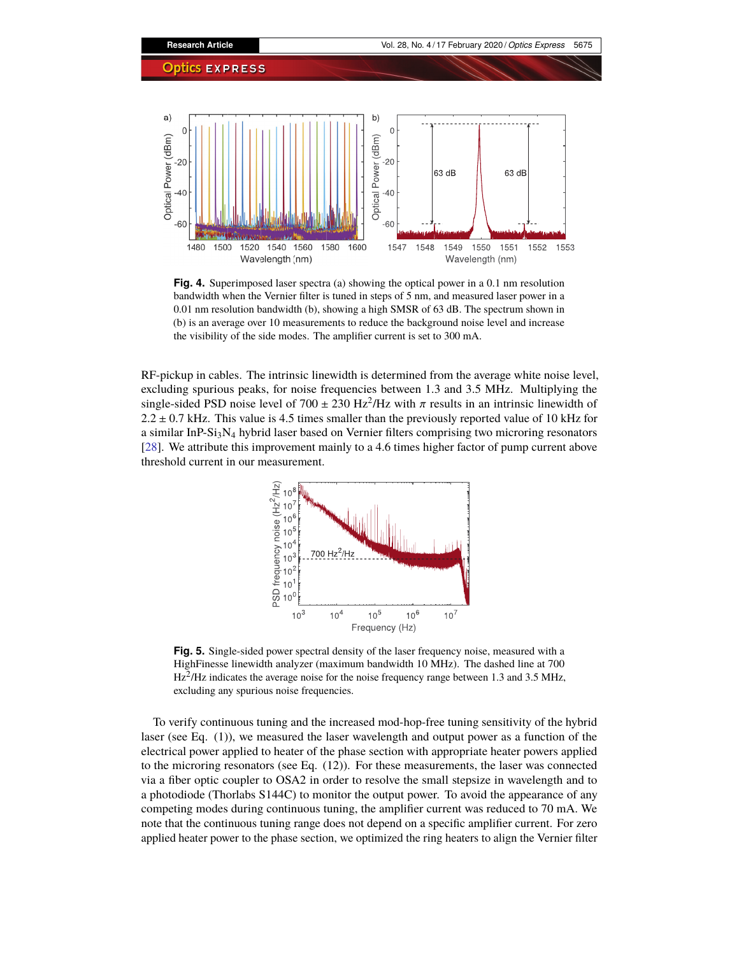

<span id="page-6-0"></span>**Fig. 4.** Superimposed laser spectra (a) showing the optical power in a 0.1 nm resolution bandwidth when the Vernier filter is tuned in steps of 5 nm, and measured laser power in a 0.01 nm resolution bandwidth (b), showing a high SMSR of 63 dB. The spectrum shown in (b) is an average over 10 measurements to reduce the background noise level and increase the visibility of the side modes. The amplifier current is set to 300 mA.

RF-pickup in cables. The intrinsic linewidth is determined from the average white noise level, excluding spurious peaks, for noise frequencies between 1.3 and 3.5 MHz. Multiplying the single-sided PSD noise level of  $700 \pm 230$  Hz<sup>2</sup>/Hz with  $\pi$  results in an intrinsic linewidth of  $2.2 + 0.7$  kHz. This value is 4.5 times smaller than the previously reported value of 10 kHz for  $2.2 \pm 0.7$  kHz. This value is 4.5 times smaller than the previously reported value of 10 kHz for a similar InP-Si<sub>3</sub>N<sub>4</sub> hybrid laser based on Vernier filters comprising two microring resonators [\[28\]](#page-13-11). We attribute this improvement mainly to a 4.6 times higher factor of pump current above threshold current in our measurement.



<span id="page-6-1"></span>**Fig. 5.** Single-sided power spectral density of the laser frequency noise, measured with a HighFinesse linewidth analyzer (maximum bandwidth 10 MHz). The dashed line at 700  $Hz<sup>2</sup>/Hz$  indicates the average noise for the noise frequency range between 1.3 and 3.5 MHz, excluding any spurious noise frequencies.

To verify continuous tuning and the increased mod-hop-free tuning sensitivity of the hybrid laser (see Eq. (1)), we measured the laser wavelength and output power as a function of the electrical power applied to heater of the phase section with appropriate heater powers applied to the microring resonators (see Eq. (12)). For these measurements, the laser was connected via a fiber optic coupler to OSA2 in order to resolve the small stepsize in wavelength and to a photodiode (Thorlabs S144C) to monitor the output power. To avoid the appearance of any competing modes during continuous tuning, the amplifier current was reduced to 70 mA. We note that the continuous tuning range does not depend on a specific amplifier current. For zero applied heater power to the phase section, we optimized the ring heaters to align the Vernier filter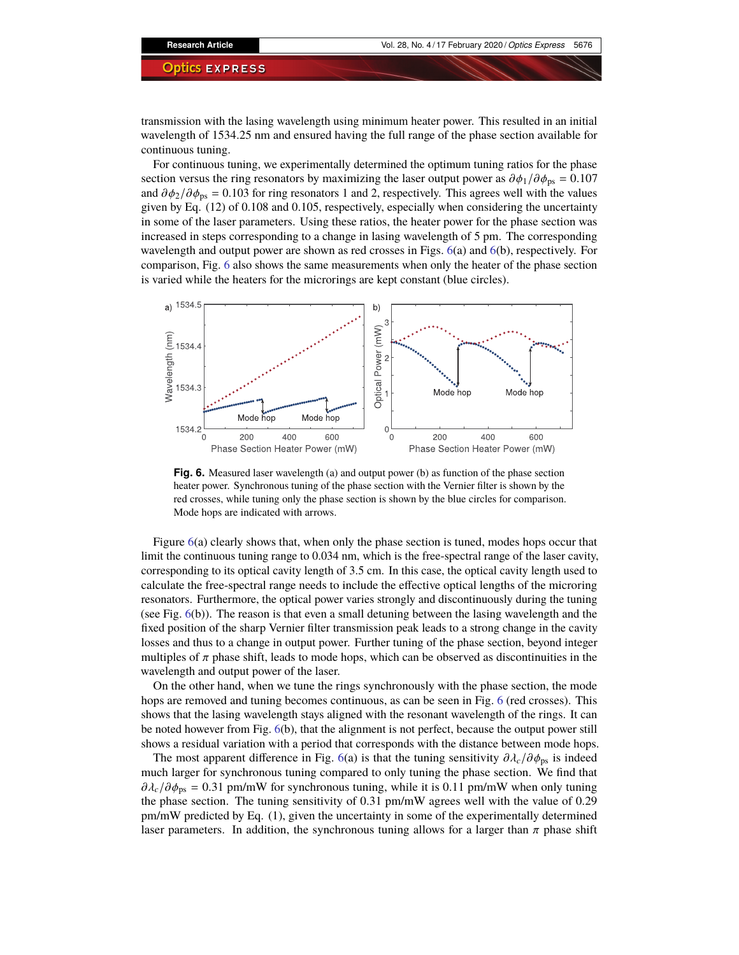transmission with the lasing wavelength using minimum heater power. This resulted in an initial wavelength of 1534.25 nm and ensured having the full range of the phase section available for continuous tuning.

For continuous tuning, we experimentally determined the optimum tuning ratios for the phase section versus the ring resonators by maximizing the laser output power as  $\partial \phi_1 / \partial \phi_{ps} = 0.107$ and  $\partial \phi_2 / \partial \phi_{\text{ps}} = 0.103$  for ring resonators 1 and 2, respectively. This agrees well with the values given by Eq. (12) of 0.108 and 0.105, respectively, especially when considering the uncertainty in some of the laser parameters. Using these ratios, the heater power for the phase section was increased in steps corresponding to a change in lasing wavelength of 5 pm. The corresponding wavelength and output power are shown as red crosses in Figs. [6\(](#page-7-0)a) and 6(b), respectively. For comparison, Fig. [6](#page-7-0) also shows the same measurements when only the heater of the phase section is varied while the heaters for the microrings are kept constant (blue circles).



<span id="page-7-0"></span>**Fig. 6.** Measured laser wavelength (a) and output power (b) as function of the phase section heater power. Synchronous tuning of the phase section with the Vernier filter is shown by the red crosses, while tuning only the phase section is shown by the blue circles for comparison. Mode hops are indicated with arrows.

Figure [6\(](#page-7-0)a) clearly shows that, when only the phase section is tuned, modes hops occur that limit the continuous tuning range to 0.034 nm, which is the free-spectral range of the laser cavity, corresponding to its optical cavity length of 3.5 cm. In this case, the optical cavity length used to calculate the free-spectral range needs to include the effective optical lengths of the microring resonators. Furthermore, the optical power varies strongly and discontinuously during the tuning (see Fig. [6\(](#page-7-0)b)). The reason is that even a small detuning between the lasing wavelength and the fixed position of the sharp Vernier filter transmission peak leads to a strong change in the cavity losses and thus to a change in output power. Further tuning of the phase section, beyond integer multiples of  $\pi$  phase shift, leads to mode hops, which can be observed as discontinuities in the wavelength and output power of the laser.

On the other hand, when we tune the rings synchronously with the phase section, the mode hops are removed and tuning becomes continuous, as can be seen in Fig. [6](#page-7-0) (red crosses). This shows that the lasing wavelength stays aligned with the resonant wavelength of the rings. It can be noted however from Fig. [6\(](#page-7-0)b), that the alignment is not perfect, because the output power still shows a residual variation with a period that corresponds with the distance between mode hops.

The most apparent difference in Fig. [6\(](#page-7-0)a) is that the tuning sensitivity  $\partial \lambda_c / \partial \phi_{\text{ps}}$  is indeed much larger for synchronous tuning compared to only tuning the phase section. We find that  $\partial \lambda_c/\partial \phi_{\text{ps}} = 0.31$  pm/mW for synchronous tuning, while it is 0.11 pm/mW when only tuning the phase section. The tuning sensitivity of 0.31 pm/mW agrees well with the value of 0.29 pm/mW predicted by Eq. (1), given the uncertainty in some of the experimentally determined laser parameters. In addition, the synchronous tuning allows for a larger than  $\pi$  phase shift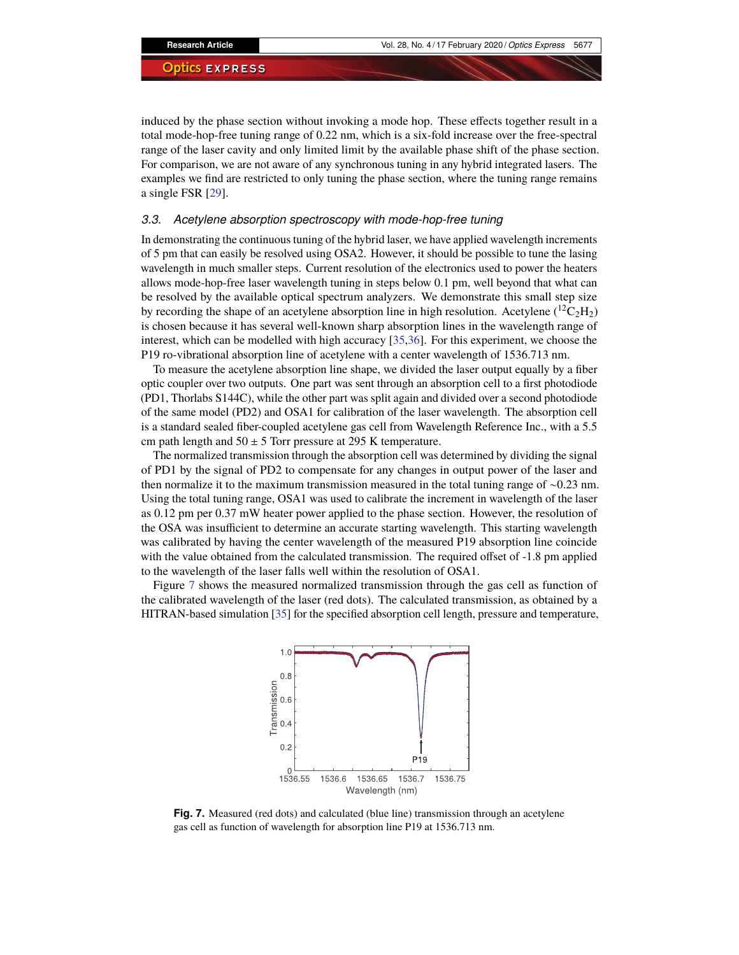induced by the phase section without invoking a mode hop. These effects together result in a total mode-hop-free tuning range of 0.22 nm, which is a six-fold increase over the free-spectral range of the laser cavity and only limited limit by the available phase shift of the phase section. For comparison, we are not aware of any synchronous tuning in any hybrid integrated lasers. The examples we find are restricted to only tuning the phase section, where the tuning range remains a single FSR [\[29\]](#page-13-12).

# *3.3. Acetylene absorption spectroscopy with mode-hop-free tuning*

In demonstrating the continuous tuning of the hybrid laser, we have applied wavelength increments of 5 pm that can easily be resolved using OSA2. However, it should be possible to tune the lasing wavelength in much smaller steps. Current resolution of the electronics used to power the heaters allows mode-hop-free laser wavelength tuning in steps below 0.1 pm, well beyond that what can be resolved by the available optical spectrum analyzers. We demonstrate this small step size by recording the shape of an acetylene absorption line in high resolution. Acetylene  $({}^{12}C_2H_2)$ is chosen because it has several well-known sharp absorption lines in the wavelength range of interest, which can be modelled with high accuracy [\[35,](#page-13-13)[36\]](#page-13-14). For this experiment, we choose the P19 ro-vibrational absorption line of acetylene with a center wavelength of 1536.713 nm.

To measure the acetylene absorption line shape, we divided the laser output equally by a fiber optic coupler over two outputs. One part was sent through an absorption cell to a first photodiode (PD1, Thorlabs S144C), while the other part was split again and divided over a second photodiode of the same model (PD2) and OSA1 for calibration of the laser wavelength. The absorption cell is a standard sealed fiber-coupled acetylene gas cell from Wavelength Reference Inc., with a 5.5 cm path length and  $50 \pm 5$  Torr pressure at 295 K temperature.

The normalized transmission through the absorption cell was determined by dividing the signal of PD1 by the signal of PD2 to compensate for any changes in output power of the laser and then normalize it to the maximum transmission measured in the total tuning range of ∼0.23 nm. Using the total tuning range, OSA1 was used to calibrate the increment in wavelength of the laser as 0.12 pm per 0.37 mW heater power applied to the phase section. However, the resolution of the OSA was insufficient to determine an accurate starting wavelength. This starting wavelength was calibrated by having the center wavelength of the measured P19 absorption line coincide with the value obtained from the calculated transmission. The required offset of -1.8 pm applied to the wavelength of the laser falls well within the resolution of OSA1.

Figure [7](#page-8-0) shows the measured normalized transmission through the gas cell as function of the calibrated wavelength of the laser (red dots). The calculated transmission, as obtained by a HITRAN-based simulation [\[35\]](#page-13-13) for the specified absorption cell length, pressure and temperature,



<span id="page-8-0"></span>**Fig. 7.** Measured (red dots) and calculated (blue line) transmission through an acetylene gas cell as function of wavelength for absorption line P19 at 1536.713 nm.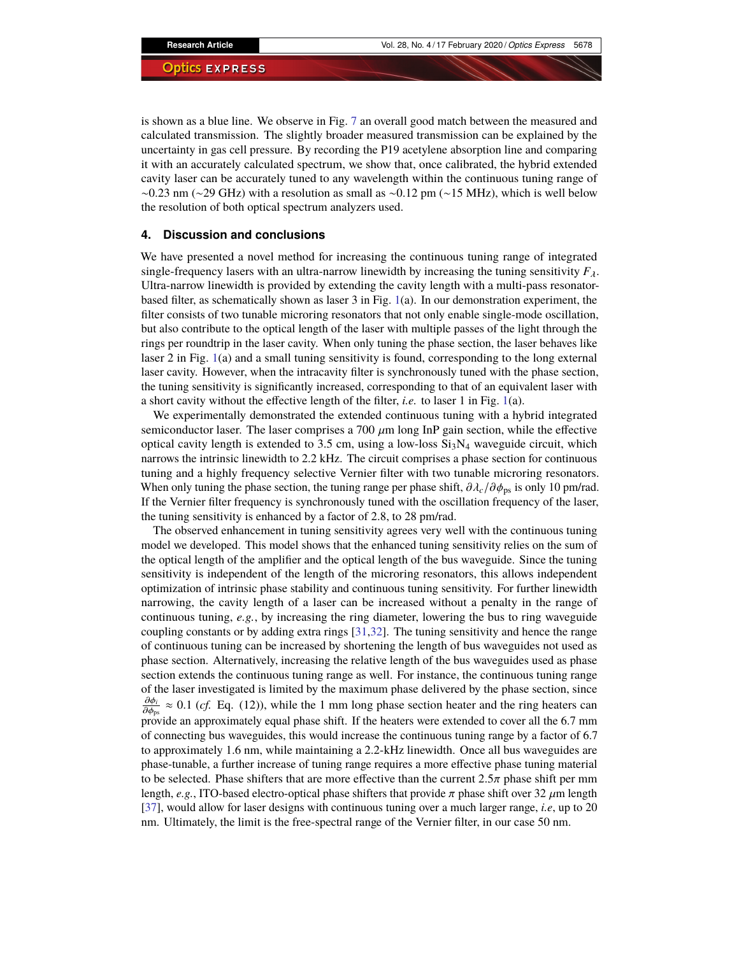is shown as a blue line. We observe in Fig. [7](#page-8-0) an overall good match between the measured and calculated transmission. The slightly broader measured transmission can be explained by the uncertainty in gas cell pressure. By recording the P19 acetylene absorption line and comparing it with an accurately calculated spectrum, we show that, once calibrated, the hybrid extended cavity laser can be accurately tuned to any wavelength within the continuous tuning range of  $\sim$ 0.23 nm (∼29 GHz) with a resolution as small as ∼0.12 pm (∼15 MHz), which is well below the resolution of both optical spectrum analyzers used.

# **4. Discussion and conclusions**

We have presented a novel method for increasing the continuous tuning range of integrated single-frequency lasers with an ultra-narrow linewidth by increasing the tuning sensitivity  $F_\lambda$ . Ultra-narrow linewidth is provided by extending the cavity length with a multi-pass resonatorbased filter, as schematically shown as laser 3 in Fig. [1\(](#page-2-0)a). In our demonstration experiment, the filter consists of two tunable microring resonators that not only enable single-mode oscillation, but also contribute to the optical length of the laser with multiple passes of the light through the rings per roundtrip in the laser cavity. When only tuning the phase section, the laser behaves like laser 2 in Fig. [1\(](#page-2-0)a) and a small tuning sensitivity is found, corresponding to the long external laser cavity. However, when the intracavity filter is synchronously tuned with the phase section, the tuning sensitivity is significantly increased, corresponding to that of an equivalent laser with a short cavity without the effective length of the filter, *i.e.* to laser 1 in Fig. [1\(](#page-2-0)a).

We experimentally demonstrated the extended continuous tuning with a hybrid integrated semiconductor laser. The laser comprises a 700  $\mu$ m long InP gain section, while the effective optical cavity length is extended to 3.5 cm, using a low-loss  $Si<sub>3</sub>N<sub>4</sub>$  waveguide circuit, which narrows the intrinsic linewidth to 2.2 kHz. The circuit comprises a phase section for continuous tuning and a highly frequency selective Vernier filter with two tunable microring resonators. When only tuning the phase section, the tuning range per phase shift,  $\partial \lambda_c / \partial \phi_{\text{ps}}$  is only 10 pm/rad. If the Vernier filter frequency is synchronously tuned with the oscillation frequency of the laser, the tuning sensitivity is enhanced by a factor of 2.8, to 28 pm/rad.

The observed enhancement in tuning sensitivity agrees very well with the continuous tuning model we developed. This model shows that the enhanced tuning sensitivity relies on the sum of the optical length of the amplifier and the optical length of the bus waveguide. Since the tuning sensitivity is independent of the length of the microring resonators, this allows independent optimization of intrinsic phase stability and continuous tuning sensitivity. For further linewidth narrowing, the cavity length of a laser can be increased without a penalty in the range of continuous tuning, *e.g.*, by increasing the ring diameter, lowering the bus to ring waveguide coupling constants or by adding extra rings [\[31](#page-13-15)[,32\]](#page-13-6). The tuning sensitivity and hence the range of continuous tuning can be increased by shortening the length of bus waveguides not used as phase section. Alternatively, increasing the relative length of the bus waveguides used as phase section extends the continuous tuning range as well. For instance, the continuous tuning range of the laser investigated is limited by the maximum phase delivered by the phase section, since  $\frac{\partial \varphi_i}{\partial \varphi_{i}} \approx 0.1$  (*cf.* Eq. (12)), while the 1 mm long phase section heater and the ring heaters can  $\sigma_{\varphi_{ps}}$  provide an approximately equal phase shift. If the heaters were extended to cover all the 6.7 mm of connecting bus waveguides, this would increase the continuous tuning range by a factor of 6.7 to approximately 1.6 nm, while maintaining a 2.2-kHz linewidth. Once all bus waveguides are phase-tunable, a further increase of tuning range requires a more effective phase tuning material to be selected. Phase shifters that are more effective than the current  $2.5\pi$  phase shift per mm length, *e.g.*, ITO-based electro-optical phase shifters that provide  $\pi$  phase shift over 32  $\mu$ m length [\[37\]](#page-13-16), would allow for laser designs with continuous tuning over a much larger range, *i.e*, up to 20 nm. Ultimately, the limit is the free-spectral range of the Vernier filter, in our case 50 nm.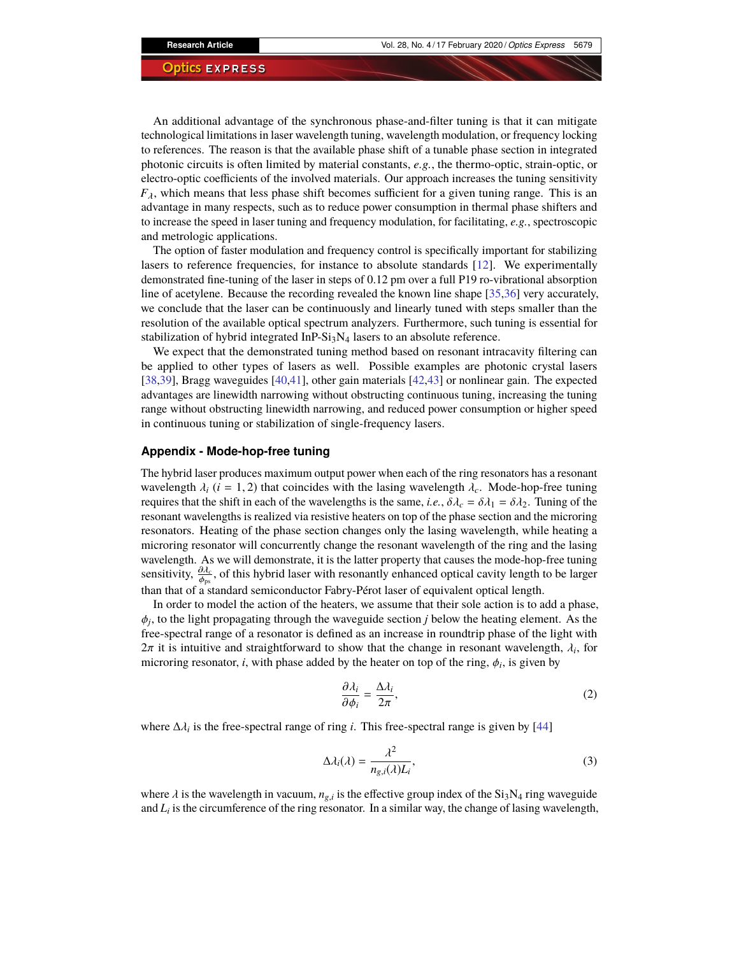An additional advantage of the synchronous phase-and-filter tuning is that it can mitigate technological limitations in laser wavelength tuning, wavelength modulation, or frequency locking to references. The reason is that the available phase shift of a tunable phase section in integrated photonic circuits is often limited by material constants, *e.g.*, the thermo-optic, strain-optic, or electro-optic coefficients of the involved materials. Our approach increases the tuning sensitivity  $F_{\lambda}$ , which means that less phase shift becomes sufficient for a given tuning range. This is an advantage in many respects, such as to reduce power consumption in thermal phase shifters and to increase the speed in laser tuning and frequency modulation, for facilitating, *e.g.*, spectroscopic and metrologic applications.

The option of faster modulation and frequency control is specifically important for stabilizing lasers to reference frequencies, for instance to absolute standards [\[12\]](#page-12-8). We experimentally demonstrated fine-tuning of the laser in steps of 0.12 pm over a full P19 ro-vibrational absorption line of acetylene. Because the recording revealed the known line shape [\[35](#page-13-13)[,36\]](#page-13-14) very accurately, we conclude that the laser can be continuously and linearly tuned with steps smaller than the resolution of the available optical spectrum analyzers. Furthermore, such tuning is essential for stabilization of hybrid integrated InP- $Si<sub>3</sub>N<sub>4</sub>$  lasers to an absolute reference.

We expect that the demonstrated tuning method based on resonant intracavity filtering can be applied to other types of lasers as well. Possible examples are photonic crystal lasers [\[38,](#page-13-17)[39\]](#page-14-0), Bragg waveguides [\[40](#page-14-1)[,41\]](#page-14-2), other gain materials [\[42](#page-14-3)[,43\]](#page-14-4) or nonlinear gain. The expected advantages are linewidth narrowing without obstructing continuous tuning, increasing the tuning range without obstructing linewidth narrowing, and reduced power consumption or higher speed in continuous tuning or stabilization of single-frequency lasers.

# <span id="page-10-0"></span>**Appendix - Mode-hop-free tuning**

The hybrid laser produces maximum output power when each of the ring resonators has a resonant wavelength  $\lambda_i$  (*i* = 1, 2) that coincides with the lasing wavelength  $\lambda_c$ . Mode-hop-free tuning requires that the shift in each of the wavelengths is the same, *i.e.*,  $\delta \lambda_c = \delta \lambda_1 = \delta \lambda_2$ . Tuning of the resonant wavelengths is realized via resistive heaters on top of the phase section and the microring resonators. Heating of the phase section changes only the lasing wavelength, while heating a microring resonator will concurrently change the resonant wavelength of the ring and the lasing wavelength. As we will demonstrate, it is the latter property that causes the mode-hop-free tuning sensitivity,  $\frac{\partial \mathcal{L}_c}{\partial \mathbf{r}}$ , of this hybrid laser with resonantly enhanced optical cavity length to be larger than that of a standard semiconductor Fabry-Pérot laser of equivalent optical length.

In order to model the action of the heaters, we assume that their sole action is to add a phase,  $\phi_j$ , to the light propagating through the waveguide section *j* below the heating element. As the free-spectral range of a resonator is defined as an increase in roundtrin phase of the light with free-spectral range of a resonator is defined as an increase in roundtrip phase of the light with  $2\pi$  it is intuitive and straightforward to show that the change in resonant wavelength,  $\lambda_i$ , for microring resonator *i* with phase added by the heater on top of the ring  $\phi_i$ , is given by microring resonator, *i*, with phase added by the heater on top of the ring,  $\phi_i$ , is given by

$$
\frac{\partial \lambda_i}{\partial \phi_i} = \frac{\Delta \lambda_i}{2\pi},\tag{2}
$$

where  $\Delta \lambda_i$  is the free-spectral range of ring *i*. This free-spectral range is given by [\[44\]](#page-14-5)

$$
\Delta \lambda_i(\lambda) = \frac{\lambda^2}{n_{g,i}(\lambda)L_i},\tag{3}
$$

where  $\lambda$  is the wavelength in vacuum,  $n_{g,i}$  is the effective group index of the Si<sub>3</sub>N<sub>4</sub> ring waveguide and  $I_i$  is the circumference of the ring resonator. In a similar way, the change of lasing wavelength and *L<sup>i</sup>* is the circumference of the ring resonator. In a similar way, the change of lasing wavelength,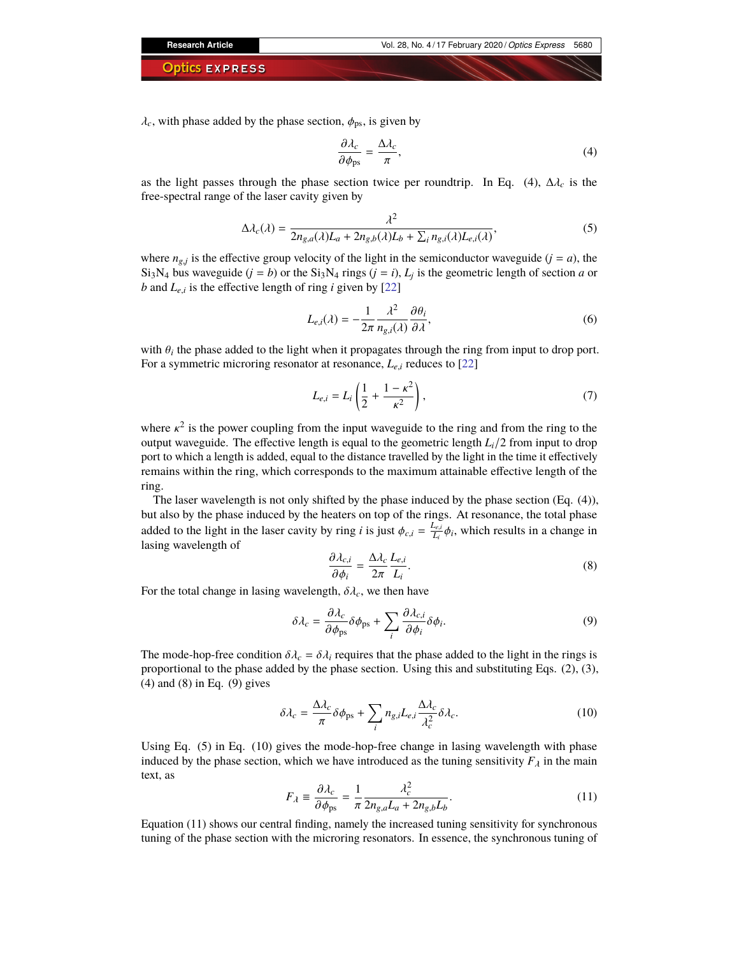$\lambda_c$ , with phase added by the phase section,  $\phi_{\text{ps}}$ , is given by

$$
\frac{\partial \lambda_c}{\partial \phi_{\text{ps}}} = \frac{\Delta \lambda_c}{\pi},\tag{4}
$$

as the light passes through the phase section twice per roundtrip. In Eq. (4),  $\Delta \lambda_c$  is the free-spectral range of the laser cavity given by

$$
\Delta \lambda_c(\lambda) = \frac{\lambda^2}{2n_{g,a}(\lambda)L_a + 2n_{g,b}(\lambda)L_b + \sum_i n_{g,i}(\lambda)L_{e,i}(\lambda)},
$$
\n(5)

where  $n_{g,j}$  is the effective group velocity of the light in the semiconductor waveguide  $(j = a)$ , the Si<sub>3</sub>N<sub>4</sub> bus waveguide (*j* = *b*) or the Si<sub>3</sub>N<sub>4</sub> rings (*j* = *i*),  $L_j$  is the geometric length of section *a* or *b* and  $L_{e,i}$  is the effective length of ring *i* given by [\[22\]](#page-13-5)

$$
L_{e,i}(\lambda) = -\frac{1}{2\pi} \frac{\lambda^2}{n_{g,i}(\lambda)} \frac{\partial \theta_i}{\partial \lambda},\tag{6}
$$

with  $\theta_i$  the phase added to the light when it propagates through the ring from input to drop port.<br>For a symmetric microring resonator at resonance,  $I_{\text{c}}$  reduces to [22] For a symmetric microring resonator at resonance, *Le*,*<sup>i</sup>* reduces to [\[22\]](#page-13-5)

$$
L_{e,i} = L_i \left( \frac{1}{2} + \frac{1 - \kappa^2}{\kappa^2} \right),
$$
 (7)

where  $\kappa^2$  is the power coupling from the input waveguide to the ring and from the ring to the output waveguide. The effective length is equal to the geometric length  $I_1/2$  from input to drop output waveguide. The effective length is equal to the geometric length *Li*/2 from input to drop port to which a length is added, equal to the distance travelled by the light in the time it effectively remains within the ring, which corresponds to the maximum attainable effective length of the ring.

The laser wavelength is not only shifted by the phase induced by the phase section (Eq. (4)), but also by the phase induced by the heaters on top of the rings. At resonance, the total phase added to the light in the laser cavity by ring *i* is just  $\phi_{c,i} = \frac{L_{e,i}}{L_i}$  $\frac{L_{e,i}}{L_i} \phi_i$ , which results in a change in lasing wavelength of

$$
\frac{\partial \lambda_{c,i}}{\partial \phi_i} = \frac{\Delta \lambda_c}{2\pi} \frac{L_{e,i}}{L_i}.
$$
\n(8)

For the total change in lasing wavelength,  $\delta \lambda_c$ , we then have

$$
\delta \lambda_c = \frac{\partial \lambda_c}{\partial \phi_{\text{ps}}} \delta \phi_{\text{ps}} + \sum_i \frac{\partial \lambda_{c,i}}{\partial \phi_i} \delta \phi_i.
$$
 (9)

The mode-hop-free condition  $\delta \lambda_c = \delta \lambda_i$  requires that the phase added to the light in the rings is proportional to the phase added by the phase section. Using this and substituting Eqs. (2), (3), (4) and (8) in Eq. (9) gives

$$
\delta \lambda_c = \frac{\Delta \lambda_c}{\pi} \delta \phi_{\text{ps}} + \sum_i n_{g,i} L_{e,i} \frac{\Delta \lambda_c}{\lambda_c^2} \delta \lambda_c.
$$
 (10)

Using Eq. (5) in Eq. (10) gives the mode-hop-free change in lasing wavelength with phase induced by the phase section, which we have introduced as the tuning sensitivity  $F_\lambda$  in the main text, as

$$
F_{\lambda} \equiv \frac{\partial \lambda_c}{\partial \phi_{\rm ps}} = \frac{1}{\pi} \frac{\lambda_c^2}{2n_{g,a}L_a + 2n_{g,b}L_b}.
$$
 (11)

 $\sigma \varphi_{\text{ps}}$   $\pi z n_{g,a} L_a + z n_{g,b} L_b$ <br>Equation (11) shows our central finding, namely the increased tuning sensitivity for synchronous tuning of the phase section with the microring resonators. In essence, the synchronous tuning of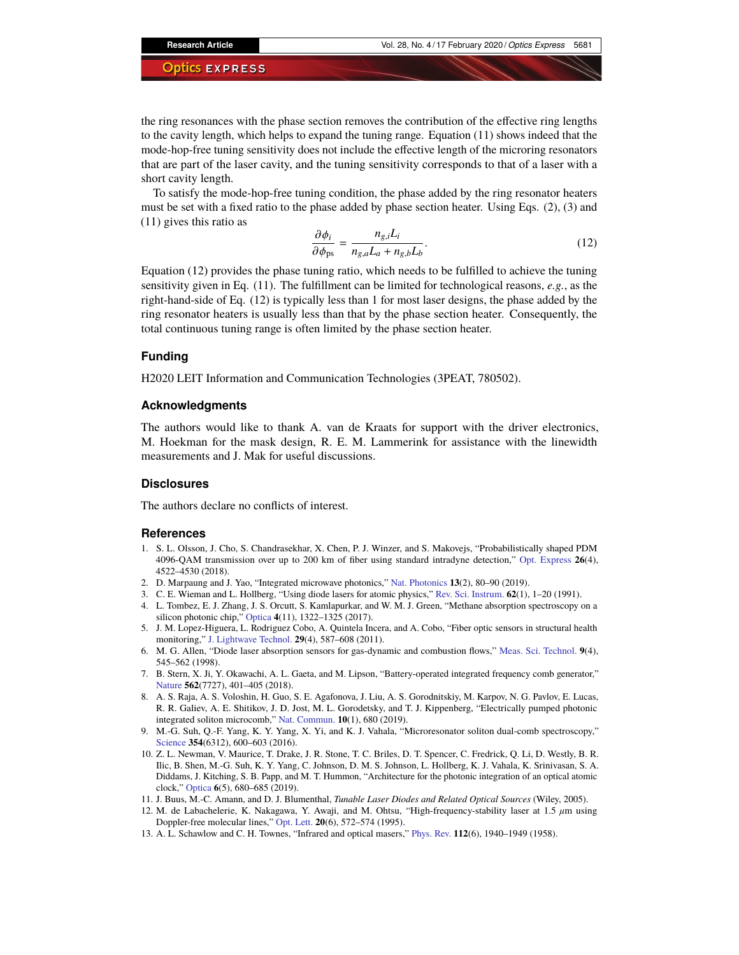the ring resonances with the phase section removes the contribution of the effective ring lengths to the cavity length, which helps to expand the tuning range. Equation (11) shows indeed that the mode-hop-free tuning sensitivity does not include the effective length of the microring resonators that are part of the laser cavity, and the tuning sensitivity corresponds to that of a laser with a short cavity length.

To satisfy the mode-hop-free tuning condition, the phase added by the ring resonator heaters must be set with a fixed ratio to the phase added by phase section heater. Using Eqs. (2), (3) and (11) gives this ratio as

$$
\frac{\partial \phi_i}{\partial \phi_{\text{ps}}} = \frac{n_{g,i} L_i}{n_{g,a} L_a + n_{g,b} L_b}.
$$
\n(12)

Equation (12) provides the phase tuning ratio, which needs to be fulfilled to achieve the tuning sensitivity given in Eq. (11). The fulfillment can be limited for technological reasons, *e.g.*, as the right-hand-side of Eq. (12) is typically less than 1 for most laser designs, the phase added by the ring resonator heaters is usually less than that by the phase section heater. Consequently, the total continuous tuning range is often limited by the phase section heater.

# **Funding**

H2020 LEIT Information and Communication Technologies (3PEAT, 780502).

## **Acknowledgments**

The authors would like to thank A. van de Kraats for support with the driver electronics, M. Hoekman for the mask design, R. E. M. Lammerink for assistance with the linewidth measurements and J. Mak for useful discussions.

# **Disclosures**

The authors declare no conflicts of interest.

#### **References**

- <span id="page-12-0"></span>1. S. L. Olsson, J. Cho, S. Chandrasekhar, X. Chen, P. J. Winzer, and S. Makovejs, "Probabilistically shaped PDM 4096-QAM transmission over up to 200 km of fiber using standard intradyne detection," [Opt. Express](https://doi.org/10.1364/OE.26.004522) **26**(4), 4522–4530 (2018).
- <span id="page-12-1"></span>2. D. Marpaung and J. Yao, "Integrated microwave photonics," [Nat. Photonics](https://doi.org/10.1038/s41566-018-0310-5) **13**(2), 80–90 (2019).
- <span id="page-12-2"></span>3. C. E. Wieman and L. Hollberg, "Using diode lasers for atomic physics," [Rev. Sci. Instrum.](https://doi.org/10.1063/1.1142305) **62**(1), 1–20 (1991).
- 4. L. Tombez, E. J. Zhang, J. S. Orcutt, S. Kamlapurkar, and W. M. J. Green, "Methane absorption spectroscopy on a silicon photonic chip," [Optica](https://doi.org/10.1364/OPTICA.4.001322) **4**(11), 1322–1325 (2017).
- 5. J. M. Lopez-Higuera, L. Rodriguez Cobo, A. Quintela Incera, and A. Cobo, "Fiber optic sensors in structural health monitoring," [J. Lightwave Technol.](https://doi.org/10.1109/JLT.2011.2106479) **29**(4), 587–608 (2011).
- <span id="page-12-3"></span>6. M. G. Allen, "Diode laser absorption sensors for gas-dynamic and combustion flows," [Meas. Sci. Technol.](https://doi.org/10.1088/0957-0233/9/4/001) **9**(4), 545–562 (1998).
- <span id="page-12-4"></span>7. B. Stern, X. Ji, Y. Okawachi, A. L. Gaeta, and M. Lipson, "Battery-operated integrated frequency comb generator," [Nature](https://doi.org/10.1038/s41586-018-0598-9) **562**(7727), 401–405 (2018).
- 8. A. S. Raja, A. S. Voloshin, H. Guo, S. E. Agafonova, J. Liu, A. S. Gorodnitskiy, M. Karpov, N. G. Pavlov, E. Lucas, R. R. Galiev, A. E. Shitikov, J. D. Jost, M. L. Gorodetsky, and T. J. Kippenberg, "Electrically pumped photonic integrated soliton microcomb," [Nat. Commun.](https://doi.org/10.1038/s41467-019-08498-2) **10**(1), 680 (2019).
- <span id="page-12-5"></span>9. M.-G. Suh, Q.-F. Yang, K. Y. Yang, X. Yi, and K. J. Vahala, "Microresonator soliton dual-comb spectroscopy," [Science](https://doi.org/10.1126/science.aah6516) **354**(6312), 600–603 (2016).
- <span id="page-12-6"></span>10. Z. L. Newman, V. Maurice, T. Drake, J. R. Stone, T. C. Briles, D. T. Spencer, C. Fredrick, Q. Li, D. Westly, B. R. Ilic, B. Shen, M.-G. Suh, K. Y. Yang, C. Johnson, D. M. S. Johnson, L. Hollberg, K. J. Vahala, K. Srinivasan, S. A. Diddams, J. Kitching, S. B. Papp, and M. T. Hummon, "Architecture for the photonic integration of an optical atomic clock," [Optica](https://doi.org/10.1364/OPTICA.6.000680) **6**(5), 680–685 (2019).
- <span id="page-12-7"></span>11. J. Buus, M.-C. Amann, and D. J. Blumenthal, *Tunable Laser Diodes and Related Optical Sources* (Wiley, 2005).
- <span id="page-12-8"></span>12. M. de Labachelerie, K. Nakagawa, Y. Awaji, and M. Ohtsu, "High-frequency-stability laser at 1.5 *µ*m using Doppler-free molecular lines," [Opt. Lett.](https://doi.org/10.1364/OL.20.000572) **20**(6), 572–574 (1995).
- <span id="page-12-9"></span>13. A. L. Schawlow and C. H. Townes, "Infrared and optical masers," [Phys. Rev.](https://doi.org/10.1103/PhysRev.112.1940) **112**(6), 1940–1949 (1958).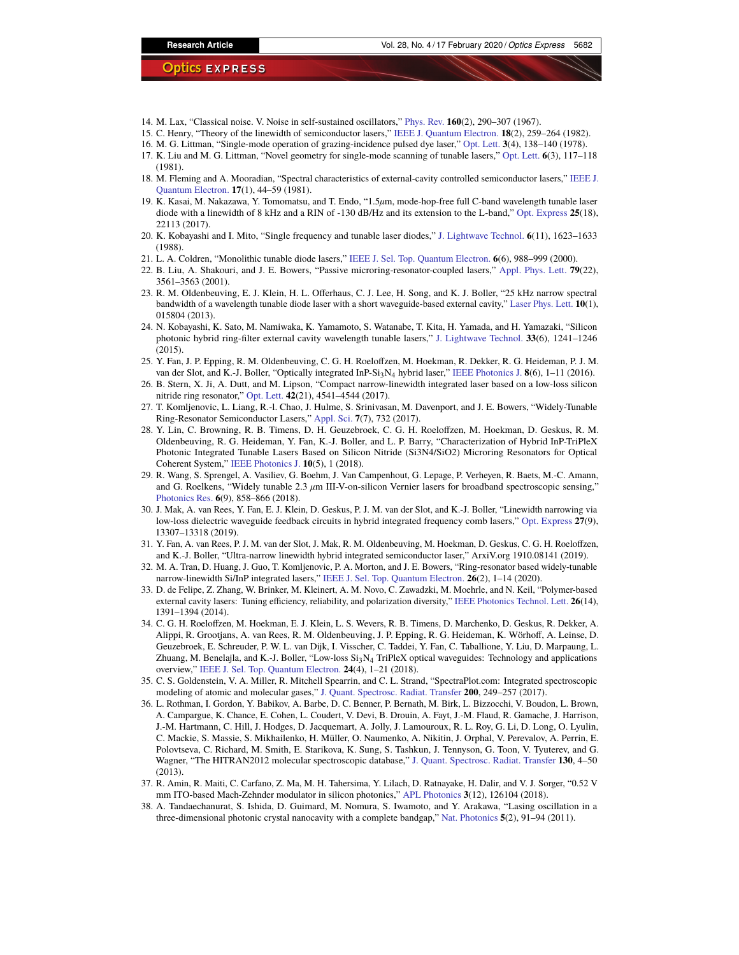- 14. M. Lax, "Classical noise. V. Noise in self-sustained oscillators," [Phys. Rev.](https://doi.org/10.1103/PhysRev.160.290) **160**(2), 290–307 (1967).
- <span id="page-13-0"></span>15. C. Henry, "Theory of the linewidth of semiconductor lasers," [IEEE J. Quantum Electron.](https://doi.org/10.1109/JQE.1982.1071522) **18**(2), 259–264 (1982).
- <span id="page-13-1"></span>16. M. G. Littman, "Single-mode operation of grazing-incidence pulsed dye laser," [Opt. Lett.](https://doi.org/10.1364/OL.3.000138) **3**(4), 138–140 (1978).
- 17. K. Liu and M. G. Littman, "Novel geometry for single-mode scanning of tunable lasers," [Opt. Lett.](https://doi.org/10.1364/OL.6.000117) **6**(3), 117–118 (1981).
- 18. M. Fleming and A. Mooradian, "Spectral characteristics of external-cavity controlled semiconductor lasers," [IEEE J.](https://doi.org/10.1109/JQE.1981.1070634) [Quantum Electron.](https://doi.org/10.1109/JQE.1981.1070634) **17**(1), 44–59 (1981).
- <span id="page-13-2"></span>19. K. Kasai, M. Nakazawa, Y. Tomomatsu, and T. Endo, "1.5*µ*m, mode-hop-free full C-band wavelength tunable laser diode with a linewidth of 8 kHz and a RIN of -130 dB/Hz and its extension to the L-band," [Opt. Express](https://doi.org/10.1364/OE.25.022113) **25**(18), 22113 (2017).
- <span id="page-13-3"></span>20. K. Kobayashi and I. Mito, "Single frequency and tunable laser diodes," [J. Lightwave Technol.](https://doi.org/10.1109/50.9978) **6**(11), 1623–1633 (1988).
- <span id="page-13-4"></span>21. L. A. Coldren, "Monolithic tunable diode lasers," [IEEE J. Sel. Top. Quantum Electron.](https://doi.org/10.1109/2944.902147) **6**(6), 988–999 (2000).
- <span id="page-13-5"></span>22. B. Liu, A. Shakouri, and J. E. Bowers, "Passive microring-resonator-coupled lasers," [Appl. Phys. Lett.](https://doi.org/10.1063/1.1420585) **79**(22), 3561–3563 (2001).
- <span id="page-13-7"></span>23. R. M. Oldenbeuving, E. J. Klein, H. L. Offerhaus, C. J. Lee, H. Song, and K. J. Boller, "25 kHz narrow spectral bandwidth of a wavelength tunable diode laser with a short waveguide-based external cavity," [Laser Phys. Lett.](https://doi.org/10.1088/1612-2011/10/1/015804) **10**(1), 015804 (2013).
- 24. N. Kobayashi, K. Sato, M. Namiwaka, K. Yamamoto, S. Watanabe, T. Kita, H. Yamada, and H. Yamazaki, "Silicon photonic hybrid ring-filter external cavity wavelength tunable lasers," [J. Lightwave Technol.](https://doi.org/10.1109/JLT.2014.2385106) **33**(6), 1241–1246  $(2015).$
- 25. Y. Fan, J. P. Epping, R. M. Oldenbeuving, C. G. H. Roeloffzen, M. Hoekman, R. Dekker, R. G. Heideman, P. J. M. van der Slot, and K.-J. Boller, "Optically integrated InP-Si3N<sup>4</sup> hybrid laser," [IEEE Photonics J.](https://doi.org/10.1109/JPHOT.2016.2633402) **8**(6), 1–11 (2016).
- 26. B. Stern, X. Ji, A. Dutt, and M. Lipson, "Compact narrow-linewidth integrated laser based on a low-loss silicon nitride ring resonator," [Opt. Lett.](https://doi.org/10.1364/OL.42.004541) **42**(21), 4541–4544 (2017).
- 27. T. Komljenovic, L. Liang, R.-l. Chao, J. Hulme, S. Srinivasan, M. Davenport, and J. E. Bowers, "Widely-Tunable Ring-Resonator Semiconductor Lasers," [Appl. Sci.](https://doi.org/10.3390/app7070732) **7**(7), 732 (2017).
- <span id="page-13-11"></span>28. Y. Lin, C. Browning, R. B. Timens, D. H. Geuzebroek, C. G. H. Roeloffzen, M. Hoekman, D. Geskus, R. M. Oldenbeuving, R. G. Heideman, Y. Fan, K.-J. Boller, and L. P. Barry, "Characterization of Hybrid InP-TriPleX Photonic Integrated Tunable Lasers Based on Silicon Nitride (Si3N4/SiO2) Microring Resonators for Optical Coherent System," [IEEE Photonics J.](https://doi.org/10.1109/JPHOT.2018.2865796) **10**(5), 1 (2018).
- <span id="page-13-12"></span>29. R. Wang, S. Sprengel, A. Vasiliev, G. Boehm, J. Van Campenhout, G. Lepage, P. Verheyen, R. Baets, M.-C. Amann, and G. Roelkens, "Widely tunable 2.3 *µ*m III-V-on-silicon Vernier lasers for broadband spectroscopic sensing," [Photonics Res.](https://doi.org/10.1364/PRJ.6.000858) **6**(9), 858–866 (2018).
- <span id="page-13-8"></span>30. J. Mak, A. van Rees, Y. Fan, E. J. Klein, D. Geskus, P. J. M. van der Slot, and K.-J. Boller, "Linewidth narrowing via low-loss dielectric waveguide feedback circuits in hybrid integrated frequency comb lasers," [Opt. Express](https://doi.org/10.1364/OE.27.013307) **27**(9), 13307–13318 (2019).
- <span id="page-13-15"></span>31. Y. Fan, A. van Rees, P. J. M. van der Slot, J. Mak, R. M. Oldenbeuving, M. Hoekman, D. Geskus, C. G. H. Roeloffzen, and K.-J. Boller, "Ultra-narrow linewidth hybrid integrated semiconductor laser," ArxiV.org 1910.08141 (2019).
- <span id="page-13-6"></span>32. M. A. Tran, D. Huang, J. Guo, T. Komljenovic, P. A. Morton, and J. E. Bowers, "Ring-resonator based widely-tunable narrow-linewidth Si/InP integrated lasers," [IEEE J. Sel. Top. Quantum Electron.](https://doi.org/10.1109/JSTQE.2019.2935274) **26**(2), 1–14 (2020).
- <span id="page-13-9"></span>33. D. de Felipe, Z. Zhang, W. Brinker, M. Kleinert, A. M. Novo, C. Zawadzki, M. Moehrle, and N. Keil, "Polymer-based external cavity lasers: Tuning efficiency, reliability, and polarization diversity," [IEEE Photonics Technol. Lett.](https://doi.org/10.1109/LPT.2014.2324760) **26**(14), 1391–1394 (2014).
- <span id="page-13-10"></span>34. C. G. H. Roeloffzen, M. Hoekman, E. J. Klein, L. S. Wevers, R. B. Timens, D. Marchenko, D. Geskus, R. Dekker, A. Alippi, R. Grootjans, A. van Rees, R. M. Oldenbeuving, J. P. Epping, R. G. Heideman, K. Wörhoff, A. Leinse, D. Geuzebroek, E. Schreuder, P. W. L. van Dijk, I. Visscher, C. Taddei, Y. Fan, C. Taballione, Y. Liu, D. Marpaung, L. Zhuang, M. Benelajla, and K.-J. Boller, "Low-loss Si<sub>3</sub>N<sub>4</sub> TriPleX optical waveguides: Technology and applications overview," [IEEE J. Sel. Top. Quantum Electron.](https://doi.org/10.1109/JSTQE.2018.2793945) **24**(4), 1–21 (2018).
- <span id="page-13-13"></span>35. C. S. Goldenstein, V. A. Miller, R. Mitchell Spearrin, and C. L. Strand, "SpectraPlot.com: Integrated spectroscopic modeling of atomic and molecular gases," [J. Quant. Spectrosc. Radiat. Transfer](https://doi.org/10.1016/j.jqsrt.2017.06.007) **200**, 249–257 (2017).
- <span id="page-13-14"></span>36. L. Rothman, I. Gordon, Y. Babikov, A. Barbe, D. C. Benner, P. Bernath, M. Birk, L. Bizzocchi, V. Boudon, L. Brown, A. Campargue, K. Chance, E. Cohen, L. Coudert, V. Devi, B. Drouin, A. Fayt, J.-M. Flaud, R. Gamache, J. Harrison, J.-M. Hartmann, C. Hill, J. Hodges, D. Jacquemart, A. Jolly, J. Lamouroux, R. L. Roy, G. Li, D. Long, O. Lyulin, C. Mackie, S. Massie, S. Mikhailenko, H. Müller, O. Naumenko, A. Nikitin, J. Orphal, V. Perevalov, A. Perrin, E. Polovtseva, C. Richard, M. Smith, E. Starikova, K. Sung, S. Tashkun, J. Tennyson, G. Toon, V. Tyuterev, and G. Wagner, "The HITRAN2012 molecular spectroscopic database," [J. Quant. Spectrosc. Radiat. Transfer](https://doi.org/10.1016/j.jqsrt.2013.07.002) **130**, 4–50 (2013).
- <span id="page-13-16"></span>37. R. Amin, R. Maiti, C. Carfano, Z. Ma, M. H. Tahersima, Y. Lilach, D. Ratnayake, H. Dalir, and V. J. Sorger, "0.52 V mm ITO-based Mach-Zehnder modulator in silicon photonics," [APL Photonics](https://doi.org/10.1063/1.5052635) **3**(12), 126104 (2018).
- <span id="page-13-17"></span>38. A. Tandaechanurat, S. Ishida, D. Guimard, M. Nomura, S. Iwamoto, and Y. Arakawa, "Lasing oscillation in a three-dimensional photonic crystal nanocavity with a complete bandgap," [Nat. Photonics](https://doi.org/10.1038/nphoton.2010.286) **5**(2), 91–94 (2011).